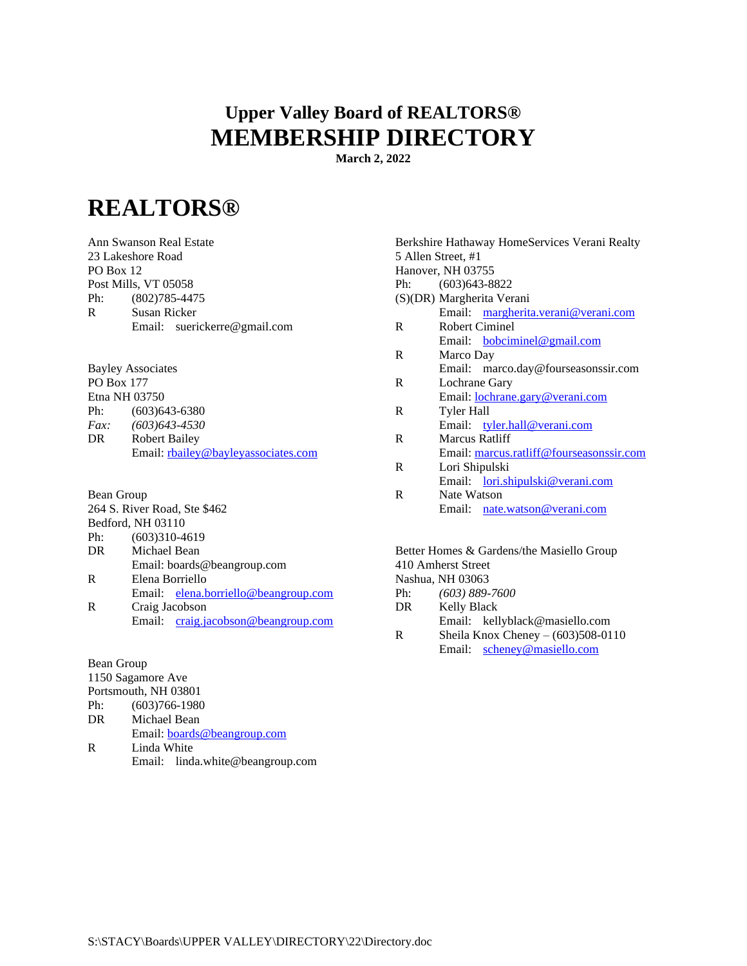## **Upper Valley Board of REALTORS® MEMBERSHIP DIRECTORY**

**March 2, 2022**

## **REALTORS®**

Ann Swanson Real Estate 23 Lakeshore Road PO Box 12 Post Mills, VT 05058 Ph: (802)785-4475 R Susan Ricker Email: suerickerre@gmail.com

Bayley Associates PO Box 177 Etna NH 03750 Ph: (603)643-6380 *Fax: (603)643-4530* DR Robert Bailey Email: <rbailey@bayleyassociates.com>

Bean Group 264 S. River Road, Ste \$462 Bedford, NH 03110 Ph: (603)310-4619 DR Michael Bean Email: boards@beangroup.com R Elena Borriello Email: [elena.borriello@beangroup.com](mailto:elena.borriello@beangroup.com) R Craig Jacobson Email: [craig.jacobson@beangroup.com](mailto:craig.jacobson@beangroup.com)

Bean Group 1150 Sagamore Ave Portsmouth, NH 03801 Ph: (603)766-1980 DR Michael Bean Email: [boards@beangroup.com](mailto:bm@beangroup.com) R Linda White

Email: linda.white@beangroup.com

Berkshire Hathaway HomeServices Verani Realty 5 Allen Street, #1 Hanover, NH 03755 Ph: (603)643-8822 (S)(DR) Margherita Verani Email: [margherita.verani@verani.com](mailto:margherita.verani@verani.com) R Robert Ciminel Email: [bobciminel@gmail.com](mailto:bobciminel@gmail.com) R Marco Day Email: marco.day@fourseasonssir.com R Lochrane Gary Email: [lochrane.gary@verani.com](mailto:Lochrane.gary@fourseasonssir.com) R Tyler Hall Email: [tyler.hall@verani.com](mailto:tyler.hall@verani.com) R Marcus Ratliff Email: [marcus.ratliff@fourseasonssir.com](mailto:marcus.ratliff@fourseasonssir.com) R Lori Shipulski Email: [lori.shipulski@verani.com](mailto:lori.shipulski@verani.com) R Nate Watson Email: [nate.watson@verani.com](mailto:nate.watson@verani.com)

Better Homes & Gardens/the Masiello Group 410 Amherst Street Nashua, NH 03063 Ph: *(603) 889-7600*

Email: kellyblack@masiello.com R Sheila Knox Cheney –  $(603)508-0110$ Email: [scheney@masiello.com](mailto:scheney@masiello.com)

DR Kelly Black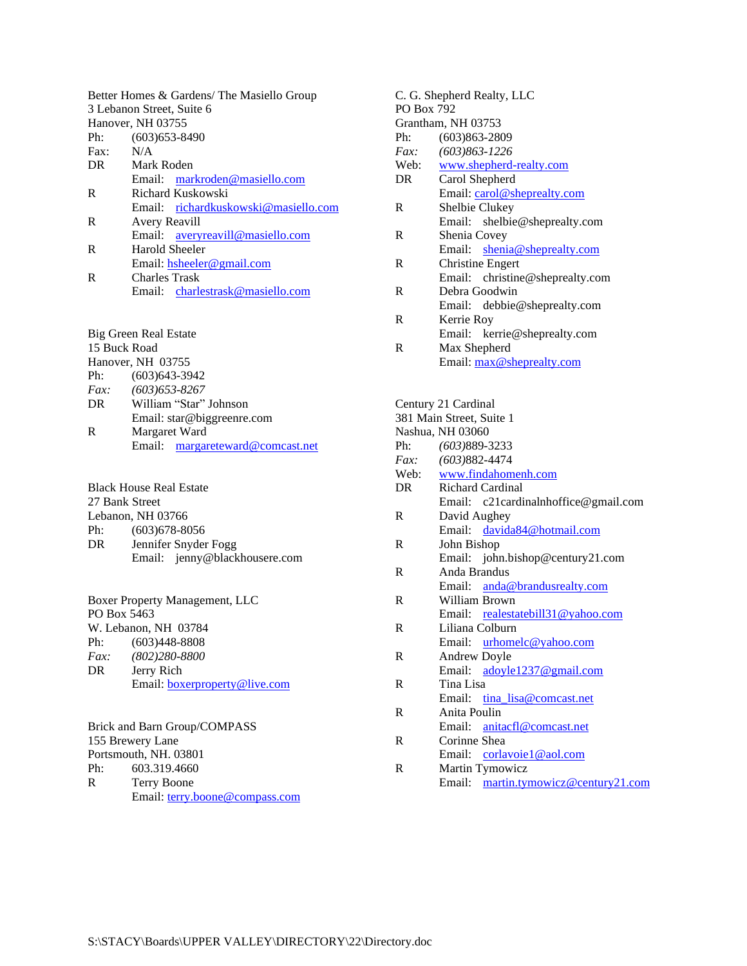|      | Better Homes & Gardens/ The Masiello Group |
|------|--------------------------------------------|
|      | 3 Lebanon Street, Suite 6                  |
|      | Hanover, NH 03755                          |
| Ph:  | $(603)$ 653-8490                           |
| Fax: | N/A                                        |
| DR.  | Mark Roden                                 |
|      | Email: markroden@masiello.com              |
| R    | Richard Kuskowski                          |
|      | Email: richardkuskowski@masiello.com       |
| R    | <b>Avery Reavill</b>                       |
|      | Email: averyreavill@masiello.com           |
| R    | Harold Sheeler                             |
|      | Email: hsheeler@gmail.com                  |
| R    | Charles Trask                              |
|      | Email: charlestrask@masiello.com           |
|      |                                            |

Big Green Real Estate 15 Buck Road Hanover, NH 03755<br>Ph: (603)643-39 Ph: (603)643-3942 *Fax: (603)653-8267* William "Star" Johnson Email: star@biggreenre.com R Margaret Ward Email: [margareteward@comcast.net](mailto:margareteward@comcast.net)

|                | <b>Black House Real Estate</b> |
|----------------|--------------------------------|
| 27 Bank Street |                                |
|                | Lebanon, NH 03766              |
| Ph:            | $(603)678 - 8056$              |
| DR             | Jennifer Snyder Fogg           |
|                | Email: jenny@blackhousere.com  |
|                |                                |

|             | Boxer Property Management, LLC       |
|-------------|--------------------------------------|
| PO Box 5463 |                                      |
|             | W. Lebanon, NH 03784                 |
| Ph:         | $(603)448 - 8808$                    |
| <i>Fax:</i> | $(802)280 - 8800$                    |
| DR          | Jerry Rich                           |
|             | Email: <b>boxerproperty@live.com</b> |

Brick and Barn Group/COMPASS 155 Brewery Lane Portsmouth, NH. 03801<br>Ph: 603.319.4660 603.319.4660 R Terry Boone Email: [terry.boone@compass.com](mailto:terry.boone@compass.com)

| C. G. Shepherd Realty, LLC |                                 |  |  |
|----------------------------|---------------------------------|--|--|
| <b>PO Box 792</b>          |                                 |  |  |
|                            | Grantham, NH 03753              |  |  |
| Ph:                        | $(603)863 - 2809$               |  |  |
| Fax:                       | $(603)863 - 1226$               |  |  |
|                            | Web: www.shepherd-realty.com    |  |  |
| DR                         | Carol Shepherd                  |  |  |
|                            | Email: carol@sheprealty.com     |  |  |
| R                          | Shelbie Clukey                  |  |  |
|                            | Email: shelbie@sheprealty.com   |  |  |
| R                          | Shenia Covey                    |  |  |
|                            | Email: shenia@sheprealty.com    |  |  |
| R                          | <b>Christine Engert</b>         |  |  |
|                            | Email: christine@sheprealty.com |  |  |
| R                          | Debra Goodwin                   |  |  |
|                            | Email: debbie@sheprealty.com    |  |  |
| R                          | Kerrie Roy                      |  |  |
|                            | Email: kerrie@sheprealty.com    |  |  |
| R                          | Max Shepherd                    |  |  |
|                            | Email: max@sheprealty.com       |  |  |
|                            |                                 |  |  |
|                            |                                 |  |  |
| Century 21 Cardinal        |                                 |  |  |

|    | 381 Main Street, Suite 1             |
|----|--------------------------------------|
|    | Nashua, NH 03060                     |
|    | Ph: (603)889-3233                    |
|    | <i>Fax:</i> $(603)882-4474$          |
|    | Web: www.findahomenh.com             |
| DR | <b>Richard Cardinal</b>              |
|    | Email: c21cardinalnhoffice@gmail.com |
| R  | David Aughey                         |
|    | Email: davida84@hotmail.com          |
| R  | John Bishop                          |
|    | Email: john.bishop@century21.com     |
| R  | Anda Brandus                         |
|    | Email: anda@brandusrealty.com        |
| R  | William Brown                        |
|    | Email: realestatebill31@yahoo.com    |
| R  | Liliana Colburn                      |
|    | Email: urhomelc@yahoo.com            |
| R  | Andrew Doyle                         |
|    | Email: adoyle1237@gmail.com          |
| R  | Tina Lisa                            |
|    | Email: tina lisa@comcast.net         |
| R  | Anita Poulin                         |
|    | Email: anitacfl@comcast.net          |
| R  | Corinne Shea                         |
|    | Email: corlavoie1@aol.com            |
| R  | Martin Tymowicz                      |
|    | Email: martin.tymowicz@century21.com |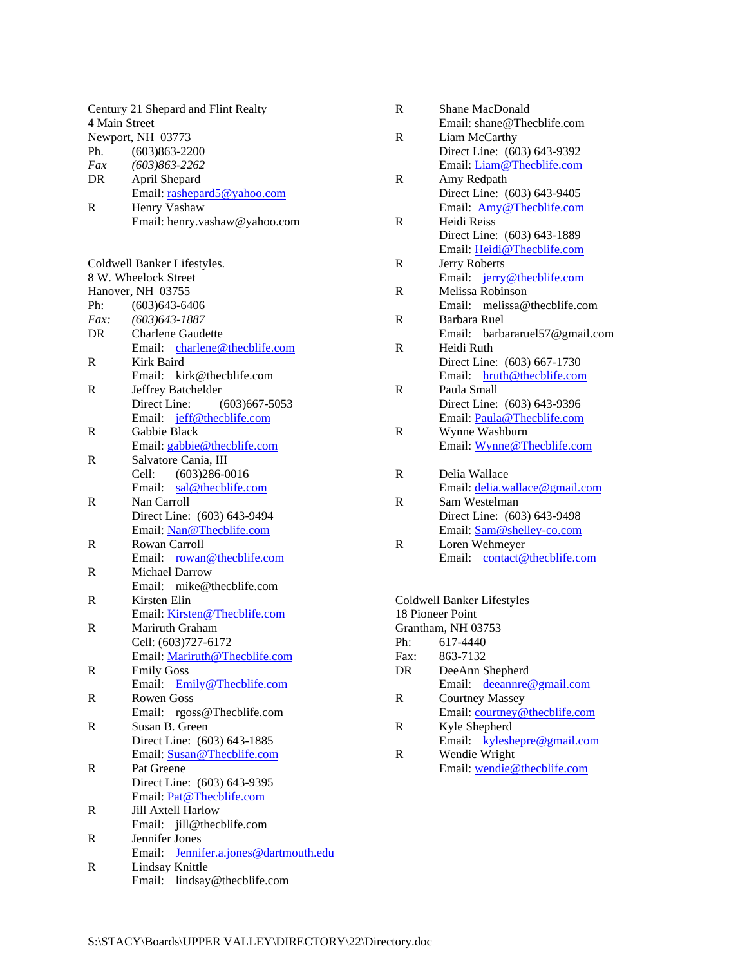| 4 Main Street | Century 21 Shepard and Flint Realty<br>Newport, NH 03773 |
|---------------|----------------------------------------------------------|
| Ph.           | $(603)863 - 2200$                                        |
| Fax           | $(603)863 - 2262$                                        |
| DR            | April Shepard                                            |
|               | Email: rashepard5@yahoo.com                              |
| R             | Henry Vashaw                                             |
|               | Email: henry.vashaw@yahoo.com                            |
|               |                                                          |
|               |                                                          |
|               | Coldwell Banker Lifestyles.                              |
|               | 8 W. Wheelock Street                                     |
|               | Hanover, NH 03755                                        |
| Ph:           | $(603)643 - 6406$                                        |
| Fax:          | $(603)$ 643-1887                                         |
| DR            | <b>Charlene Gaudette</b>                                 |
|               | Email: charlene@thecblife.com                            |
| R             | Kirk Baird                                               |
|               | Email: kirk@thecblife.com                                |
| R             | Jeffrey Batchelder                                       |
|               | Direct Line:                                             |
|               | $(603)$ 667-5053                                         |
|               | Email: jeff@thecblife.com                                |
| R             | Gabbie Black                                             |
|               | Email: gabbie@thecblife.com                              |
| R             | Salvatore Cania, III                                     |
|               | Cell:<br>$(603)286 - 0016$                               |
|               | Email: sal@thecblife.com                                 |
| R             | Nan Carroll                                              |
|               | Direct Line: (603) 643-9494                              |
|               | Email: Nan@Thecblife.com                                 |
| R             | Rowan Carroll                                            |
|               | Email: rowan@thecblife.com                               |
| R             | <b>Michael Darrow</b>                                    |
|               | Email: mike@thecblife.com                                |
| R             | Kirsten Elin                                             |
|               | Email: Kirsten@Thecblife.com                             |
| R             | Mariruth Graham                                          |
|               | Cell: (603)727-6172                                      |
|               | Email: Mariruth@Thecblife.com                            |
| R             | <b>Emily Goss</b>                                        |
|               | Email:<br>Emily@Thecblife.com                            |
| R             | <b>Rowen Goss</b>                                        |
|               | Email: rgoss@Thecblife.com                               |
| R             | Susan B. Green                                           |
|               | Direct Line: (603) 643-1885                              |
|               | Email: Susan@Thecblife.com                               |
| R             | Pat Greene                                               |
|               | Direct Line: (603) 643-9395                              |
|               | Email: Pat@Thecblife.com                                 |
| R             | Jill Axtell Harlow                                       |
|               | Email: jill@thecblife.com                                |
| R             | Jennifer Jones                                           |
|               | Email: Jennifer.a.jones@dartmouth.edu                    |
|               |                                                          |
| R             | Lindsay Knittle                                          |
|               | Email: lindsay@thecblife.com                             |

| R    | <b>Shane MacDonald</b>         |
|------|--------------------------------|
|      | Email: shane@Thecblife.com     |
| R    | Liam McCarthy                  |
|      | Direct Line: (603) 643-9392    |
|      | Email: Liam@Thecblife.com      |
| R    | Amy Redpath                    |
|      | Direct Line: (603) 643-9405    |
|      | Email: Amy@Thecblife.com       |
| R    | Heidi Reiss                    |
|      | Direct Line: (603) 643-1889    |
|      | Email: Heidi@Thecblife.com     |
| R    | Jerry Roberts                  |
|      | Email: jerry@thecblife.com     |
| R    | Melissa Robinson               |
|      | Email: melissa@thecblife.com   |
| R    | Barbara Ruel                   |
|      | Email: barbararuel57@gmail.com |
| R    | Heidi Ruth                     |
|      | Direct Line: (603) 667-1730    |
|      | Email: hruth@thecblife.com     |
| R    | Paula Small                    |
|      | Direct Line: (603) 643-9396    |
|      | Email: Paula@Thecblife.com     |
| R    | Wynne Washburn                 |
|      | Email: Wynne@Thecblife.com     |
| R    | Delia Wallace                  |
|      | Email: delia.wallace@gmail.com |
| R    | Sam Westelman                  |
|      | Direct Line: (603) 643-9498    |
|      | Email: Sam@shelley-co.com      |
| R    | Loren Wehmeyer                 |
|      | Email: contact@thecblife.com   |
|      |                                |
|      | Coldwell Banker Lifestyles     |
|      | 18 Pioneer Point               |
|      | Grantham, NH 03753             |
| Ph:  | 617-4440                       |
| Fax: | 863-7132                       |
|      |                                |

| DR | Dee Ann Shepherd                 |
|----|----------------------------------|
|    | Email: <u>deeannre@gmail.com</u> |
| R  | <b>Courtney Massey</b>           |
|    | Email: courtney@thecblife.com    |
| R  | Kyle Shepherd                    |
|    | Email: kyleshepre@gmail.com      |
| R  | Wendie Wright                    |

Email: [wendie@thecblife.com](mailto:wendie@cblifestylesre.com)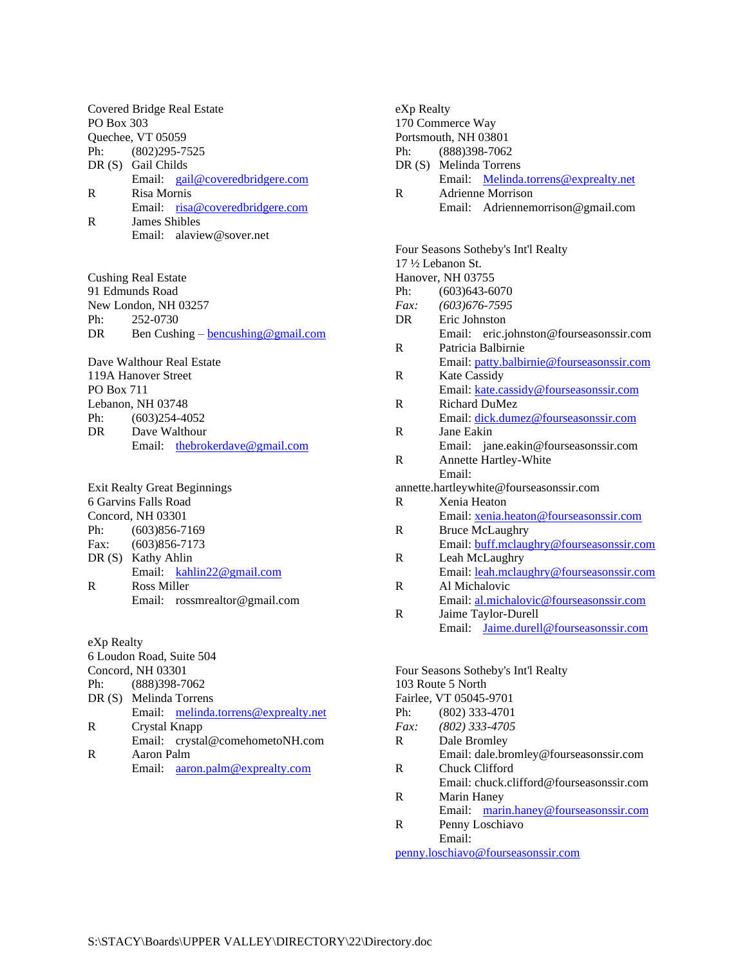Covered Bridge Real Estate PO Box 303 Quechee, VT 05059 Ph: (802)295-7525 DR (S) Gail Childs Email: [gail@coveredbridgere.com](mailto:gail@coveredbridgere.com) R Risa Mornis Email: [risa@coveredbridgere.com](mailto:risa@coveredbridgere.com) R James Shibles Email: alaview@sover.net

Cushing Real Estate 91 Edmunds Road New London, NH 03257 Ph: 252-0730 DR Ben Cushing – bencushing @gmail.com

Dave Walthour Real Estate 119A Hanover Street PO Box 711 Lebanon, NH 03748 Ph: (603)254-4052 DR Dave Walthour Email: [thebrokerdave@gmail.com](mailto:thebrokerdave@gmail.com)

|     | <b>Exit Realty Great Beginnings</b> |
|-----|-------------------------------------|
|     | 6 Garvins Falls Road                |
|     | Concord, NH 03301                   |
| Ph: | $(603)856 - 7169$                   |
|     | Fax: (603)856-7173                  |
|     | DR (S) Kathy Ahlin                  |
|     | Email: kahlin22@gmail.com           |
| R   | Ross Miller                         |
|     | Email: $rossmrelation@gmail.com$    |
|     |                                     |

eXp Realty 6 Loudon Road, Suite 504 Concord, NH 03301 Ph: (888)398-7062 DR (S) Melinda Torrens Email: [melinda.torrens@exprealty.net](mailto:melinda.torrens@exprealty.net) R Crystal Knapp Email: crystal@comehometoNH.com R Aaron Palm Email: [aaron.palm@exprealty.com](mailto:aaron.palm@exprealty.com)

eXp Realty 170 Commerce Way Portsmouth, NH 03801 Ph: (888)398-7062 DR (S) Melinda Torrens Email: [Melinda.torrens@exprealty.net](mailto:Melinda.torrens@exprealty.net) R Adrienne Morrison Email: Adriennemorrison@gmail.com Four Seasons Sotheby's Int'l Realty 17 ½ Lebanon St. Hanover, NH 03755 Ph: (603) 643-6070 *Fax: (603)676-7595* DR Eric Johnston Email: eric.johnston@fourseasonssir.com R Patricia Balbirnie Email: [patty.balbirnie@fourseasonssir.com](mailto:patty.balbirnie@fourseasonssir.com) R Kate Cassidy Email: [kate.cassidy@fourseasonssir.com](mailto:kate.cassidy@fourseasonssir.com) R Richard DuMez Email: [dick.dumez@fourseasonssir.com](mailto:dick.dumez@fourseasonssir.com) R Jane Eakin Email: jane.eakin@fourseasonssir.com R Annette Hartley-White Email: annette.hartleywhite@fourseasonssir.com R Xenia Heaton Email: [xenia.heaton@fourseasonssir.com](mailto:xenia.heaton@fourseasonssir.com) R Bruce McLaughry Email: [buff.mclaughry@fourseasonssir.com](mailto:buff@fourseasonssir.com) R Leah McLaughry Email: [leah.mclaughry@fourseasonssir.com](mailto:leah.mclaughry@fourseasonssir.com) R Al Michalovic Email: [al.michalovic@fourseasonssir.com](mailto:al.michalovic@fourseasonssir.com) R Jaime Taylor-Durell Email: [Jaime.durell@fourseasonssir.com](mailto:Jaime.durell@fourseasonssir.com) Four Seasons Sotheby's Int'l Realty 103 Route 5 North Fairlee, VT 05045-9701

| Ph:     | $(802)$ 333-4701                         |
|---------|------------------------------------------|
| $Fax$ : | $(802)$ 333-4705                         |
| R       | Dale Bromley                             |
|         | Email: dale.bromley@fourseasonssir.com   |
| R       | Chuck Clifford                           |
|         | Email: chuck.clifford@fourseasonssir.com |
| R       | Marin Haney                              |
|         | Email: marin.haney@fourseasonssir.com    |
| R       | Penny Loschiavo                          |
|         | Email:                                   |
|         | penny.loschiavo@fourseasonssir.com       |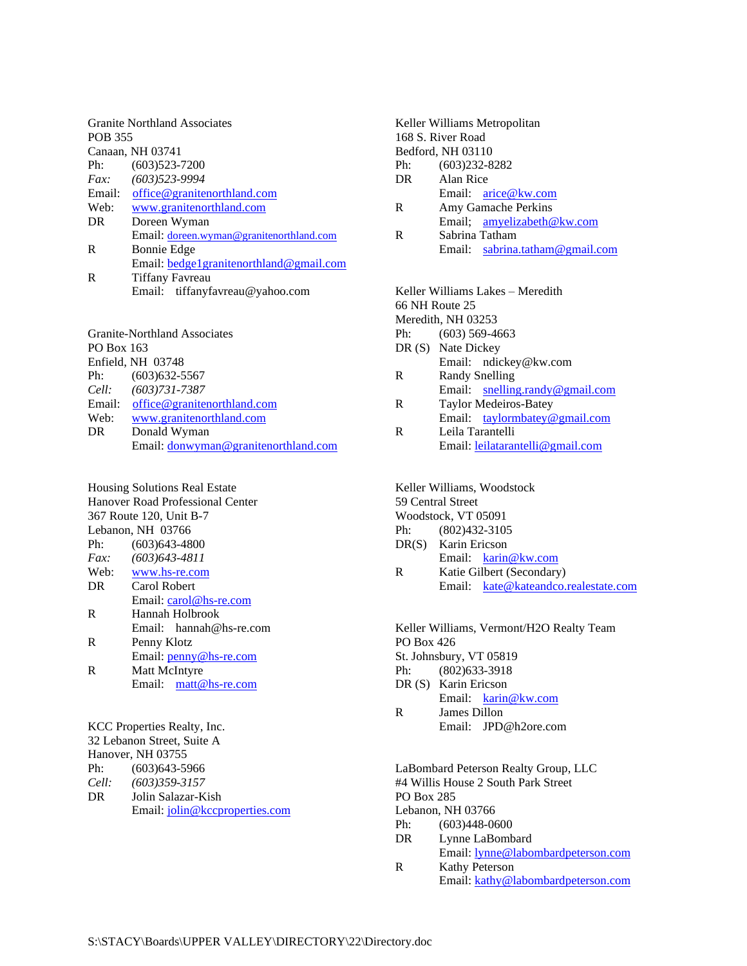| <b>Granite Northland Associates</b> |                                          |
|-------------------------------------|------------------------------------------|
| <b>POB 355</b>                      |                                          |
|                                     | Canaan, NH 03741                         |
| Ph:                                 | $(603)523 - 7200$                        |
| Fax:                                | $(603)523 - 9994$                        |
| Email:                              | office@granitenorthland.com              |
| Web:                                | www.granitenorthland.com                 |
| DR.                                 | Doreen Wyman                             |
|                                     | Email: doreen.wyman@granitenorthland.com |
| R                                   | <b>Bonnie Edge</b>                       |
|                                     | Email: bedge1granitenorthland@gmail.com  |
| R                                   | <b>Tiffany Favreau</b>                   |
|                                     | Email: tiffanyfavreau@yahoo.com          |
|                                     |                                          |

|                   | <b>Granite-Northland Associates</b>  |  |
|-------------------|--------------------------------------|--|
| PO Box 163        |                                      |  |
| Enfield, NH 03748 |                                      |  |
| Ph:               | $(603)$ 632-5567                     |  |
|                   | Cell: (603)731-7387                  |  |
| Email:            | office@granitenorthland.com          |  |
| Web:              | www.granitenorthland.com             |  |
| DR                | Donald Wyman                         |  |
|                   | Email: donwyman@granitenorthland.com |  |
|                   |                                      |  |

Housing Solutions Real Estate Hanover Road Professional Center 367 Route 120, Unit B-7 Lebanon, NH 03766 Ph: (603)643-4800 *Fax: (603)643-4811* Web: <www.hs-re.com> DR Carol Robert Email: <carol@hs-re.com> R Hannah Holbrook Email: hannah@hs-re.com R Penny Klotz Email: [penny@hs-re.com](mailto:penny@hs-re.com) R Matt McIntyre Email: [matt@hs-re.com](mailto:matt@hs-re.com) KCC Properties Realty, Inc.

32 Lebanon Street, Suite A Hanover, NH 03755 Ph: (603)643-5966 *Cell: (603)359-3157* DR Jolin Salazar-Kish Email:<jolin@kccproperties.com>

| Keller Williams Metropolitan |                                   |
|------------------------------|-----------------------------------|
| 168 S. River Road            |                                   |
| Bedford, NH 03110            |                                   |
| $(603)232 - 8282$<br>Ph:     |                                   |
| Alan Rice<br>DR              |                                   |
|                              | Email: arice@kw.com               |
| R                            | Amy Gamache Perkins               |
|                              | Email: amyelizabeth@kw.com        |
| R                            | Sabrina Tatham                    |
|                              | Email: $sabrina.tatham@gmail.com$ |
|                              |                                   |

Keller Williams Lakes – Meredith 66 NH Route 25 Meredith, NH 03253 Ph: (603) 569-4663 DR (S) Nate Dickey Email: ndickey@kw.com R Randy Snelling Email: [snelling.randy@gmail.com](mailto:snelling.randy@gmail.com) R Taylor Medeiros-Batey Email: [taylormbatey@gmail.com](mailto:taylormbatey@gmail.com) R Leila Tarantelli Email: [leilatarantelli@gmail.com](mailto:leilatarantelli@gmail.com)

Keller Williams, Woodstock 59 Central Street Woodstock, VT 05091 Ph: (802)432-3105 DR(S) Karin Ericson Email: [karin@kw.com](mailto:karin@kw.com) R Katie Gilbert (Secondary) Email: [kate@kateandco.realestate.com](mailto:kate@kateandco.realestate.com)

Keller Williams, Vermont/H2O Realty Team PO Box 426 St. Johnsbury, VT 05819 Ph: (802)633-3918 DR (S) Karin Ericson Email: [karin@kw.com](mailto:karin@kw.com) R James Dillon Email: JPD@h2ore.com

LaBombard Peterson Realty Group, LLC #4 Willis House 2 South Park Street PO Box 285 Lebanon, NH 03766 Ph: (603)448-0600 DR Lynne LaBombard Email: [lynne@labombardpeterson.com](mailto:lynne@labombardpeterson.com)

R Kathy Peterson Email: [kathy@labombardpeterson.com](mailto:kathy@labombardpeterson.com)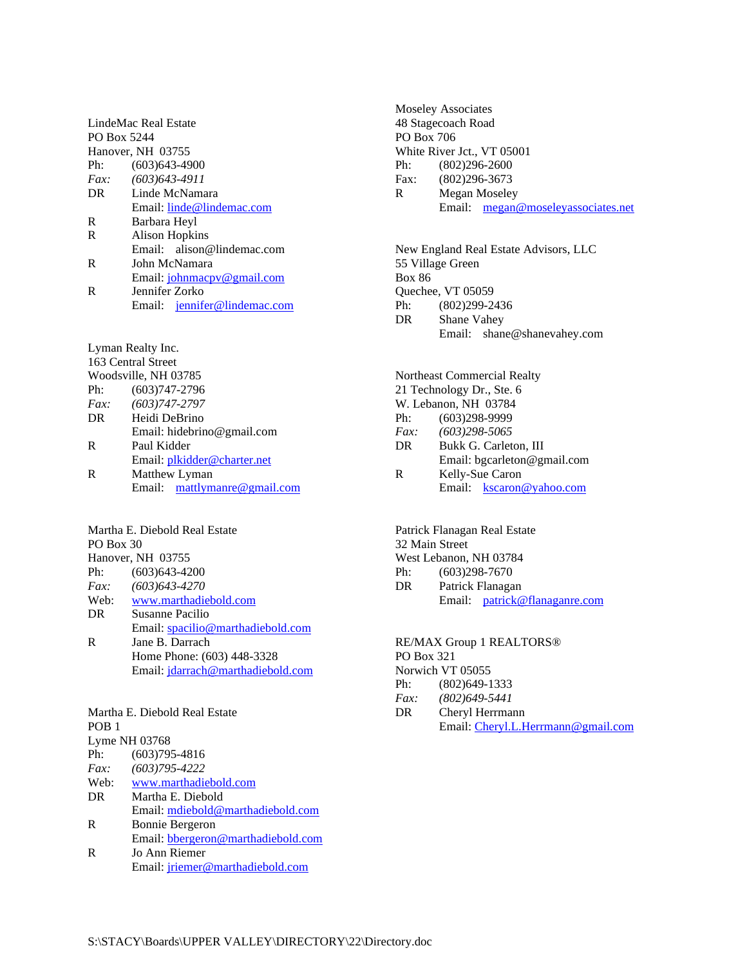LindeMac Real Estate PO Box 5244 Hanover, NH 03755 Ph: (603)643-4900 *Fax: (603)643-4911* DR Linde McNamara Email:<linde@lindemac.com> R Barbara Heyl R Alison Hopkins Email: alison@lindemac.com R John McNamara Email: [johnmacpv@gmail.com](mailto:johnmacpu@gmail.com) R Jennifer Zorko Email: [jennifer@lindemac.com](mailto:jennifer@lindemac.com)

Lyman Realty Inc. 163 Central Street Woodsville, NH 03785 Ph: (603)747-2796 *Fax: (603)747-2797* DR Heidi DeBrino Email: hidebrino@gmail.com R Paul Kidder Email: [plkidder@charter.net](pkidder@charter.net) R Matthew Lyman Email: [mattlymanre@gmail.com](mailto:mattlymanre@gmail.com)

Martha E. Diebold Real Estate PO Box 30 Hanover, NH 03755 Ph: (603)643-4200 *Fax: (603)643-4270* Web: <www.marthadiebold.com> DR Susanne Pacilio Email: <spacilio@marthadiebold.com> R Jane B. Darrach Home Phone: (603) 448-3328 Email: <jdarrach@marthadiebold.com>

Martha E. Diebold Real Estate POB 1 Lyme NH 03768 Ph: (603)795-4816 *Fax: (603)795-4222* Web: <www.marthadiebold.com> DR Martha E. Diebold Email: [mdiebold@marthadiebold.com](mdiebold@marthadiebold.com%20) R Bonnie Bergeron Email: [bbergeron@marthadiebold.com](bonnie.jb@valley.net) R Jo Ann Riemer Email: <jriemer@marthadiebold.com>

Moseley Associates 48 Stagecoach Road PO Box 706 White River Jct., VT 05001 Ph: (802)296-2600 Fax: (802)296-3673 R Megan Moseley Email: [megan@moseleyassociates.net](mailto:megan@moseleyassociates.net)

New England Real Estate Advisors, LLC 55 Village Green Box 86 Quechee, VT 05059 Ph: (802)299-2436 DR Shane Vahey Email: shane@shanevahey.com

Northeast Commercial Realty 21 Technology Dr., Ste. 6 W. Lebanon, NH 03784 Ph: (603)298-9999 *Fax: (603)298-5065* DR Bukk G. Carleton, III Email: bgcarleton@gmail.com R Kelly-Sue Caron Email: [kscaron@yahoo.com](mailto:kscaron@yahoo.com)

Patrick Flanagan Real Estate 32 Main Street West Lebanon, NH 03784 Ph: (603)298-7670 DR Patrick Flanagan Email: [patrick@flanaganre.com](mailto:patrick@flanaganre.com)

RE/MAX Group 1 REALTORS® PO Box 321 Norwich VT 05055 Ph: (802)649-1333 *Fax: (802)649-5441* DR Cheryl Herrmann Email: [Cheryl.L.Herrmann@gmail.com](mailto:Cheryl.L.Herrmann@gmail.com)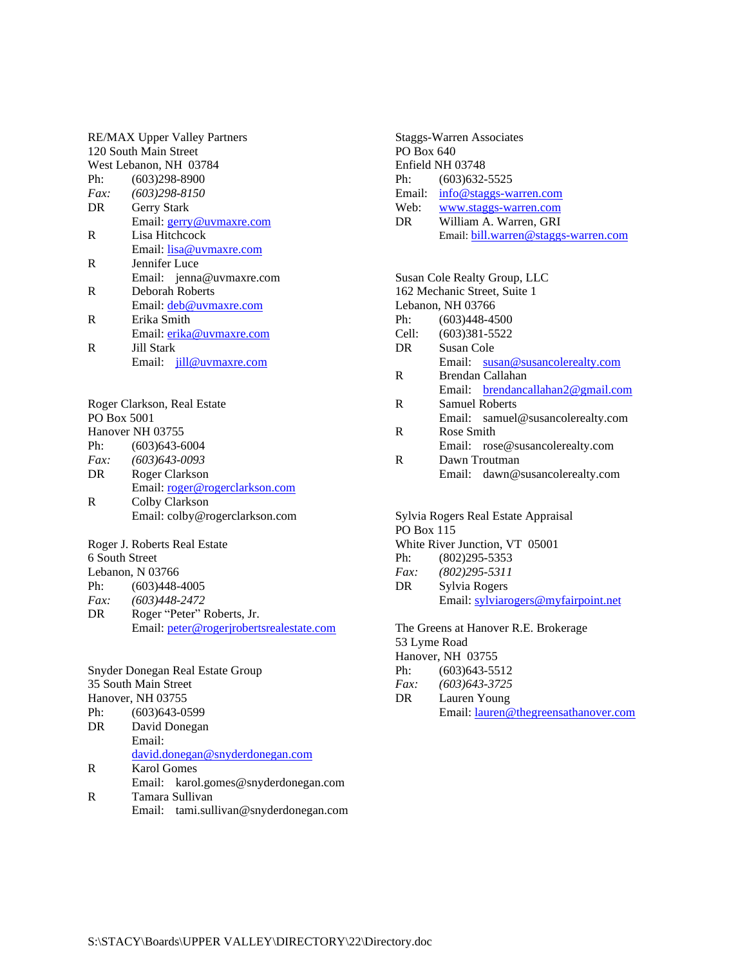| <b>RE/MAX Upper Valley Partners</b> |                                                                        |  |  |
|-------------------------------------|------------------------------------------------------------------------|--|--|
| 120 South Main Street               |                                                                        |  |  |
|                                     | West Lebanon, NH 03784                                                 |  |  |
| Ph:                                 | $(603)298 - 8900$                                                      |  |  |
| $Fax$ :                             | $(603)298 - 8150$                                                      |  |  |
| DR                                  | Gerry Stark                                                            |  |  |
|                                     | Email: gerry@uvmaxre.com                                               |  |  |
| R                                   | Lisa Hitchcock                                                         |  |  |
|                                     | Email: lisa@uvmaxre.com                                                |  |  |
| R                                   | Jennifer Luce                                                          |  |  |
|                                     | Email: jenna@uvmaxre.com                                               |  |  |
| R                                   | <b>Deborah Roberts</b>                                                 |  |  |
|                                     | Email: deb@uvmaxre.com                                                 |  |  |
| R                                   | Erika Smith                                                            |  |  |
|                                     | Email: erika@uvmaxre.com                                               |  |  |
| R                                   | Jill Stark                                                             |  |  |
|                                     | Email: jill@uvmaxre.com                                                |  |  |
|                                     |                                                                        |  |  |
|                                     |                                                                        |  |  |
|                                     | Roger Clarkson, Real Estate                                            |  |  |
| PO Box 5001                         |                                                                        |  |  |
|                                     | Hanover NH 03755                                                       |  |  |
|                                     | Ph: (603)643-6004                                                      |  |  |
| Fax:                                | $(603)$ 643-0093                                                       |  |  |
| DR                                  | Roger Clarkson                                                         |  |  |
|                                     | Email: roger@rogerclarkson.com                                         |  |  |
| R                                   | Colby Clarkson                                                         |  |  |
|                                     | Email: colby@rogerclarkson.com                                         |  |  |
|                                     |                                                                        |  |  |
|                                     |                                                                        |  |  |
|                                     | Roger J. Roberts Real Estate                                           |  |  |
| 6 South Street                      |                                                                        |  |  |
|                                     | Lebanon, N 03766                                                       |  |  |
| Ph:                                 | $(603)448-4005$                                                        |  |  |
| Fax:                                | $(603)448 - 2472$                                                      |  |  |
| DR.                                 | Roger "Peter" Roberts, Jr.<br>Email: peter@rogerjrobertsrealestate.com |  |  |

Snyder Donegan Real Estate Group 35 South Main Street Hanover, NH 03755 Ph: (603)643-0599 DR David Donegan Email: [david.donegan@snyderdonegan.com](mailto:david.donegan@snyderdonegan.com) R Karol Gomes Email: karol.gomes@snyderdonegan.com R Tamara Sullivan

Email: tami.sullivan@snyderdonegan.com

Staggs-Warren Associates PO Box 640 Enfield NH 03748 Ph: (603)632-5525 Email: <info@staggs-warren.com> Web: <www.staggs-warren.com><br>DR William A. Warren, GRI William A. Warren, GRI Email: <bill.warren@staggs-warren.com>

|       | Susan Cole Realty Group, LLC<br>162 Mechanic Street, Suite 1 |  |
|-------|--------------------------------------------------------------|--|
|       | Lebanon, NH 03766                                            |  |
| Ph:   | $(603)448-4500$                                              |  |
| Cell: | $(603)381 - 5522$                                            |  |
| DR.   | Susan Cole                                                   |  |
|       | Email: susan@susancolerealty.com                             |  |
| R     | Brendan Callahan                                             |  |
|       | Email: brendancallahan2@gmail.com                            |  |
| R     | <b>Samuel Roberts</b>                                        |  |
|       | Email: samuel@susancolerealty.com                            |  |
| R     | Rose Smith                                                   |  |
|       | Email: rose@susancolerealty.com                              |  |
| R     | Dawn Troutman                                                |  |
|       | Email: dawn@susancolerealty.com                              |  |

Sylvia Rogers Real Estate Appraisal PO Box 115 White River Junction, VT 05001 Ph: (802)295-5353 *Fax: (802)295-5311* DR Sylvia Rogers Email: <sylviarogers@myfairpoint.net> The Greens at Hanover R.E. Brokerage

53 Lyme Road Hanover, NH 03755 Ph: (603) 643-5512 *Fax: (603)643-3725* DR Lauren Young Email: [lauren@thegreensathanover.com](mailto:lauren@thegreensathanover.com)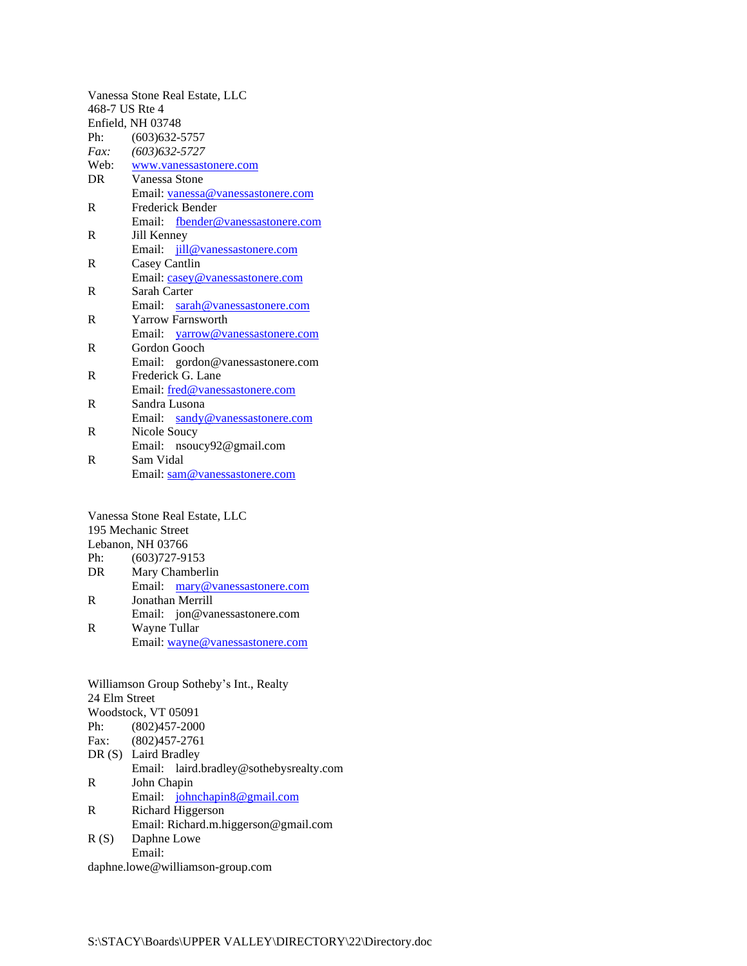| Vanessa Stone Real Estate, LLC |                                   |  |  |  |
|--------------------------------|-----------------------------------|--|--|--|
| 468-7 US Rte 4                 |                                   |  |  |  |
| Enfield, NH 03748              |                                   |  |  |  |
| Ph:                            | $(603)632 - 5757$                 |  |  |  |
| Fax:                           | $(603)$ 632-5727                  |  |  |  |
| Web:                           | www.vanessastonere.com            |  |  |  |
| DR                             | Vanessa Stone                     |  |  |  |
|                                | Email: vanessa@vanessastonere.com |  |  |  |
| R                              | Frederick Bender                  |  |  |  |
|                                | Email: fbender@vanessastonere.com |  |  |  |
| R                              | Jill Kenney                       |  |  |  |
|                                | Email: jill@vanessastonere.com    |  |  |  |
| R                              | Casey Cantlin                     |  |  |  |
|                                | Email: casey@vanessastonere.com   |  |  |  |
| R                              | Sarah Carter                      |  |  |  |
|                                | Email: sarah@vanessastonere.com   |  |  |  |
| R                              | <b>Yarrow Farnsworth</b>          |  |  |  |
|                                | Email: yarrow@vanessastonere.com  |  |  |  |
| R                              | Gordon Gooch                      |  |  |  |
|                                | Email: gordon@vanessastonere.com  |  |  |  |
| R                              | Frederick G. Lane                 |  |  |  |
|                                | Email: fred@vanessastonere.com    |  |  |  |
| R                              | Sandra Lusona                     |  |  |  |
|                                | Email: sandy@vanessastonere.com   |  |  |  |
| R                              | Nicole Soucy                      |  |  |  |
|                                | Email: nsoucy92@gmail.com         |  |  |  |
| R                              | Sam Vidal                         |  |  |  |

Email: <sam@vanessastonere.com>

Vanessa Stone Real Estate, LLC 195 Mechanic Street Lebanon, NH 03766<br>Ph:  $(603)727.01$  $P$ <br>(603)727-9153

| Ph: | $(603)/2/ -9153$               |  |
|-----|--------------------------------|--|
| DR  | Mary Chamberlin                |  |
|     | Email: mary@vanessastonere.com |  |
| R   | Jonathan Merrill               |  |
|     |                                |  |

Email: jon@vanessastonere.com R Wayne Tullar Email: [wayne@vanessastonere.com](mailto:wayne@vanessastonere.com)

| Williamson Group Sotheby's Int., Realty |                                         |  |
|-----------------------------------------|-----------------------------------------|--|
| 24 Elm Street                           |                                         |  |
| Woodstock, VT 05091                     |                                         |  |
| $(802)457 - 2000$<br>Ph:                |                                         |  |
| Fax: (802)457-2761                      |                                         |  |
| DR (S) Laird Bradley                    |                                         |  |
|                                         | Email: laird.bradley@sothebysrealty.com |  |
| R<br>John Chapin                        |                                         |  |
| Email: johnchapin8@gmail.com            |                                         |  |
| R                                       | Richard Higgerson                       |  |
|                                         | Email: Richard.m.higgerson@gmail.com    |  |
| R(S)<br>Daphne Lowe                     |                                         |  |
| Email:                                  |                                         |  |

daphne.lowe@williamson-group.com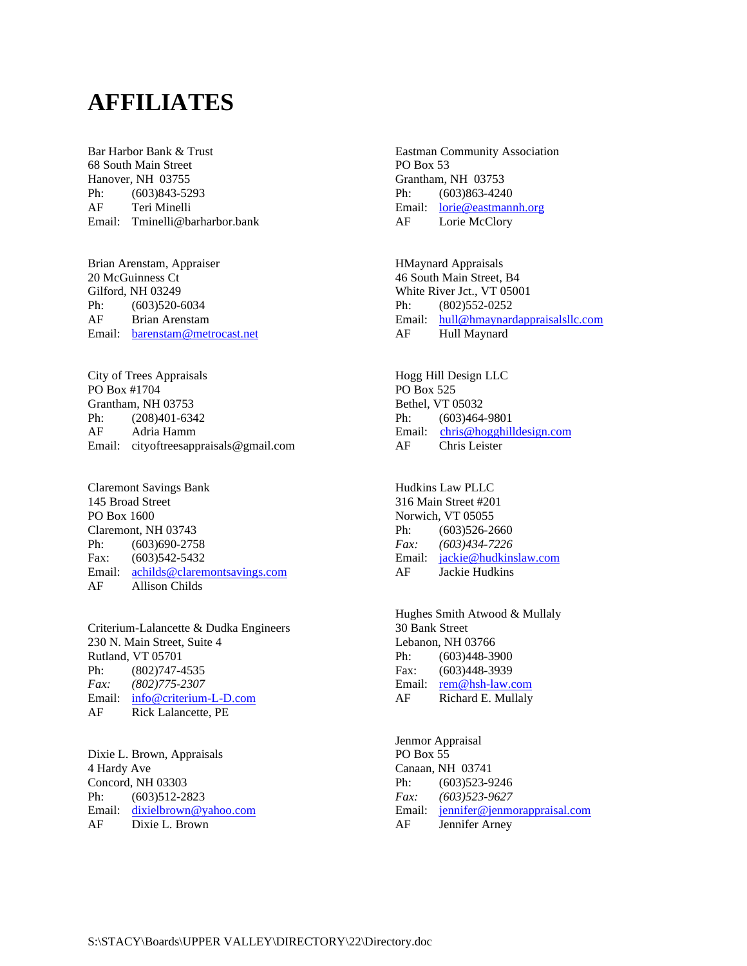## **AFFILIATES**

Bar Harbor Bank & Trust 68 South Main Street Hanover, NH 03755 Ph: (603)843-5293 AF Teri Minelli Email: Tminelli@barharbor.bank

Brian Arenstam, Appraiser 20 McGuinness Ct Gilford, NH 03249 Ph: (603)520-6034 AF Brian Arenstam Email: [barenstam@metrocast.net](mailto:barenstam@metrocast.net)

City of Trees Appraisals PO Box #1704 Grantham, NH 03753 Ph: (208)401-6342 AF Adria Hamm Email: cityoftreesappraisals@gmail.com

Claremont Savings Bank 145 Broad Street PO Box 1600 Claremont, NH 03743 Ph: (603)690-2758 Fax: (603)542-5432 Email: [achilds@claremontsavings.com](mailto:achilds@claremontsavings.com) AF Allison Childs

Criterium-Lalancette & Dudka Engineers 230 N. Main Street, Suite 4 Rutland, VT 05701 Ph: (802)747-4535 *Fax: (802)775-2307* Email: [info@criterium-L-D.com](mailto:info@criterium-L-D.com) AF Rick Lalancette, PE

Dixie L. Brown, Appraisals 4 Hardy Ave Concord, NH 03303 Ph: (603)512-2823 Email: [dixielbrown@yahoo.com](mailto:dixielbrown@yahoo.com) AF Dixie L. Brown

Eastman Community Association PO Box 53 Grantham, NH 03753 Ph: (603)863-4240 Email: <lorie@eastmannh.org> AF Lorie McClory

HMaynard Appraisals 46 South Main Street, B4 White River Jct., VT 05001 Ph: (802)552-0252 Email: [hull@hmaynardappraisalsllc.com](mailto:hmaynard3@myfairpoint.net) AF Hull Maynard

Hogg Hill Design LLC PO Box 525 Bethel, VT 05032 Ph: (603)464-9801 Email: [chris@hogghilldesign.com](mailto:chris@hogghilldesign.com) AF Chris Leister

Hudkins Law PLLC 316 Main Street #201 Norwich, VT 05055 Ph: (603)526-2660 *Fax: (603)434-7226* Email: [jackie@hudkinslaw.com](mailto:jackie@hudkinslaw.com) AF Jackie Hudkins

Hughes Smith Atwood & Mullaly 30 Bank Street Lebanon, NH 03766 Ph: (603)448-3900 Fax: (603)448-3939 Email: [rem@hsh-law.com](mailto:rem@hsh-law.com) AF Richard E. Mullaly

Jenmor Appraisal PO Box 55 Canaan, NH 03741 Ph: (603)523-9246 *Fax: (603)523-9627* Email: <jennifer@jenmorappraisal.com> AF Jennifer Arney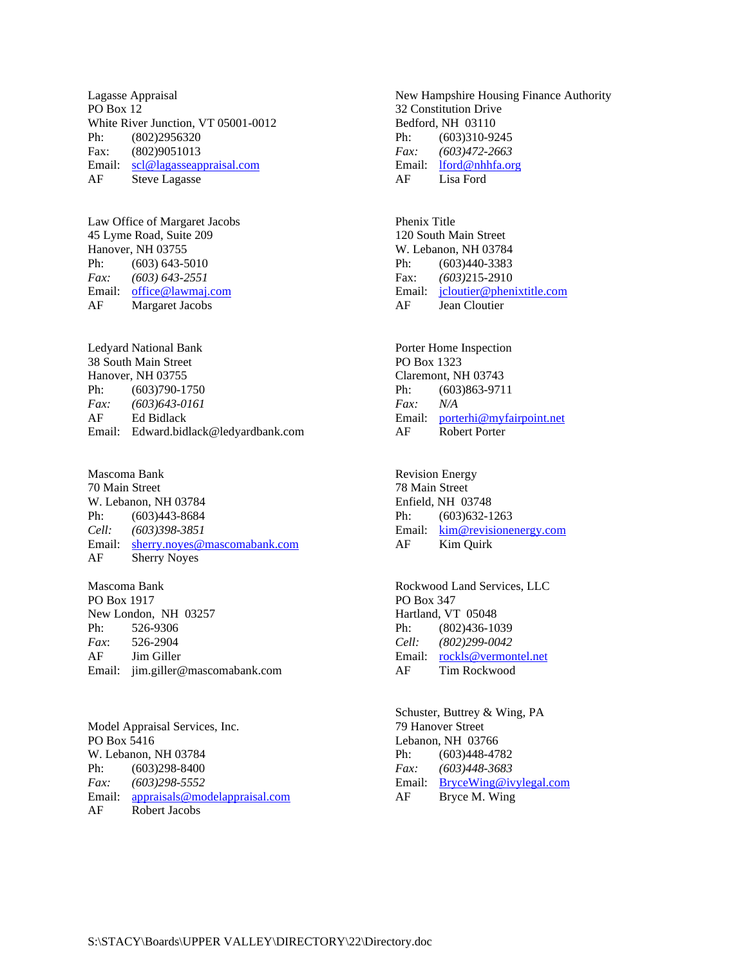Lagasse Appraisal PO Box 12 White River Junction, VT 05001-0012 Ph: (802)2956320 Fax: (802)9051013 Email: [scl@lagasseappraisal.com](mailto:scl@lagasseappraisal.com) AF Steve Lagasse

Law Office of Margaret Jacobs 45 Lyme Road, Suite 209 Hanover, NH 03755 Ph: (603) 643-5010 *Fax: (603) 643-2551* Email: <office@lawmaj.com> AF Margaret Jacobs

Ledyard National Bank 38 South Main Street Hanover, NH 03755 Ph: (603)790-1750 *Fax: (603)643-0161* AF Ed Bidlack Email: Edward.bidlack@ledyardbank.com

Mascoma Bank 70 Main Street W. Lebanon, NH 03784 Ph: (603)443-8684 *Cell: (603)398-3851* Email: [sherry.noyes@mascomabank.com](mailto:sherry.noyes@mascomabank.com) AF Sherry Noyes

Mascoma Bank PO Box 1917 New London, NH 03257 Ph: 526-9306 *Fax*: 526-2904 AF Jim Giller Email: jim.giller@mascomabank.com

Model Appraisal Services, Inc. PO Box 5416 W. Lebanon, NH 03784 Ph: (603)298-8400 *Fax: (603)298-5552* Email: <appraisals@modelappraisal.com> AF Robert Jacobs

New Hampshire Housing Finance Authority 32 Constitution Drive Bedford, NH 03110 Ph:  $(603)310-9245$ *Fax: (603)472-2663* Email: [lford@nhhfa.org](mailto:lford@nhhfa.org) AF Lisa Ford

Phenix Title 120 South Main Street W. Lebanon, NH 03784 Ph: (603)440-3383 Fax: *(603)*215-2910 Email: [jcloutier@phenixtitle.com](mailto:jcloutier@phenixtitle.com) AF Jean Cloutier

Porter Home Inspection PO Box 1323 Claremont, NH 03743 Ph: (603)863-9711 *Fax: N/A* Email: [porterhi@myfairpoint.net](mailto:porterhi@myfairpoint.net) AF Robert Porter

Revision Energy 78 Main Street Enfield, NH 03748 Ph: (603) 632-1263 Email: [kim@revisionenergy.com](kim@energyemp.com) AF Kim Quirk

Rockwood Land Services, LLC PO Box 347 Hartland, VT 05048 Ph: (802)436-1039 *Cell: (802)299-0042* Email: <rockls@vermontel.net> AF Tim Rockwood

Schuster, Buttrey & Wing, PA 79 Hanover Street Lebanon, NH 03766 Ph: (603)448-4782 *Fax: (603)448-3683* Email: [BryceWing@ivylegal.com](mailto:BryceWing@ivylegal.com) AF Bryce M. Wing